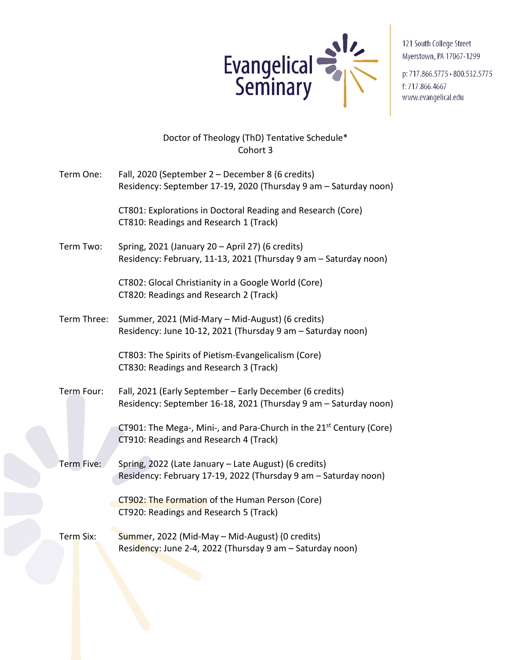

121 South College Street Myerstown, PA 17067-1299

p: 717.866.5775 - 800.532.5775 f: 717.866.4667 www.evangelical.edu

## Doctor of Theology (ThD) Tentative Schedule\* Cohort 3

| Term One:   | Fall, 2020 (September 2 - December 8 (6 credits)<br>Residency: September 17-19, 2020 (Thursday 9 am - Saturday noon)         |
|-------------|------------------------------------------------------------------------------------------------------------------------------|
|             | CT801: Explorations in Doctoral Reading and Research (Core)<br>CT810: Readings and Research 1 (Track)                        |
| Term Two:   | Spring, 2021 (January 20 - April 27) (6 credits)<br>Residency: February, 11-13, 2021 (Thursday 9 am - Saturday noon)         |
|             | CT802: Glocal Christianity in a Google World (Core)<br>CT820: Readings and Research 2 (Track)                                |
| Term Three: | Summer, 2021 (Mid-Mary - Mid-August) (6 credits)<br>Residency: June 10-12, 2021 (Thursday 9 am - Saturday noon)              |
|             | CT803: The Spirits of Pietism-Evangelicalism (Core)<br>CT830: Readings and Research 3 (Track)                                |
| Term Four:  | Fall, 2021 (Early September - Early December (6 credits)<br>Residency: September 16-18, 2021 (Thursday 9 am - Saturday noon) |
|             | CT901: The Mega-, Mini-, and Para-Church in the 21 <sup>st</sup> Century (Core)<br>CT910: Readings and Research 4 (Track)    |
| Term Five:  | Spring, 2022 (Late January - Late August) (6 credits)<br>Residency: February 17-19, 2022 (Thursday 9 am - Saturday noon)     |
|             | CT902: The Formation of the Human Person (Core)<br>CT920: Readings and Research 5 (Track)                                    |
| Term Six:   | Summer, 2022 (Mid-May - Mid-August) (0 credits)<br>Residency: June 2-4, 2022 (Thursday 9 am - Saturday noon)                 |